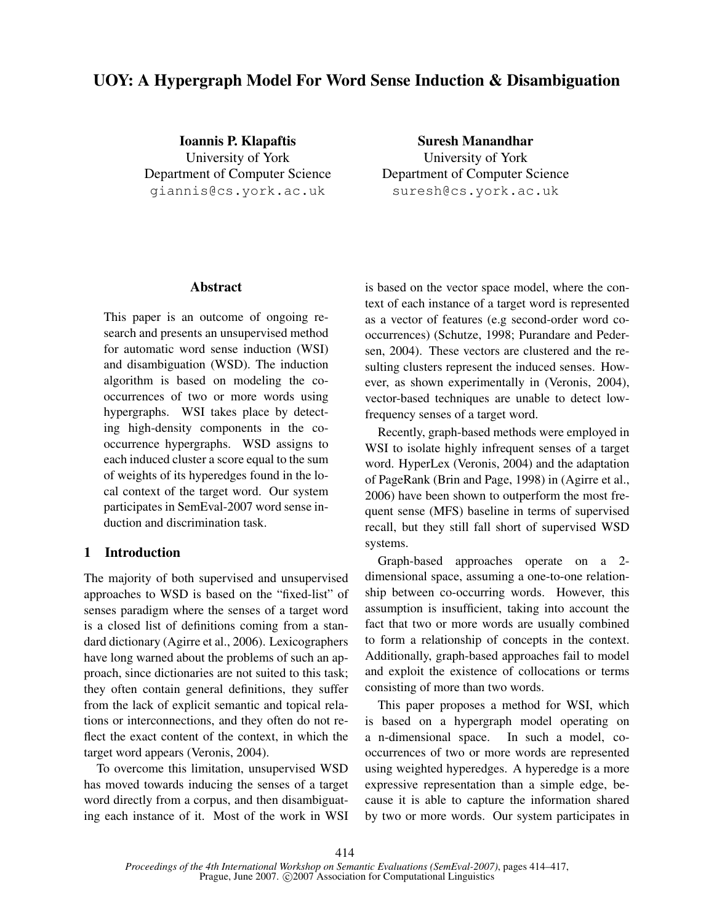# UOY: A Hypergraph Model For Word Sense Induction & Disambiguation

Ioannis P. Klapaftis University of York Department of Computer Science giannis@cs.york.ac.uk

Suresh Manandhar University of York Department of Computer Science suresh@cs.york.ac.uk

### Abstract

This paper is an outcome of ongoing research and presents an unsupervised method for automatic word sense induction (WSI) and disambiguation (WSD). The induction algorithm is based on modeling the cooccurrences of two or more words using hypergraphs. WSI takes place by detecting high-density components in the cooccurrence hypergraphs. WSD assigns to each induced cluster a score equal to the sum of weights of its hyperedges found in the local context of the target word. Our system participates in SemEval-2007 word sense induction and discrimination task.

# 1 Introduction

The majority of both supervised and unsupervised approaches to WSD is based on the "fixed-list" of senses paradigm where the senses of a target word is a closed list of definitions coming from a standard dictionary (Agirre et al., 2006). Lexicographers have long warned about the problems of such an approach, since dictionaries are not suited to this task; they often contain general definitions, they suffer from the lack of explicit semantic and topical relations or interconnections, and they often do not reflect the exact content of the context, in which the target word appears (Veronis, 2004).

To overcome this limitation, unsupervised WSD has moved towards inducing the senses of a target word directly from a corpus, and then disambiguating each instance of it. Most of the work in WSI is based on the vector space model, where the context of each instance of a target word is represented as a vector of features (e.g second-order word cooccurrences) (Schutze, 1998; Purandare and Pedersen, 2004). These vectors are clustered and the resulting clusters represent the induced senses. However, as shown experimentally in (Veronis, 2004), vector-based techniques are unable to detect lowfrequency senses of a target word.

Recently, graph-based methods were employed in WSI to isolate highly infrequent senses of a target word. HyperLex (Veronis, 2004) and the adaptation of PageRank (Brin and Page, 1998) in (Agirre et al., 2006) have been shown to outperform the most frequent sense (MFS) baseline in terms of supervised recall, but they still fall short of supervised WSD systems.

Graph-based approaches operate on a 2 dimensional space, assuming a one-to-one relationship between co-occurring words. However, this assumption is insufficient, taking into account the fact that two or more words are usually combined to form a relationship of concepts in the context. Additionally, graph-based approaches fail to model and exploit the existence of collocations or terms consisting of more than two words.

This paper proposes a method for WSI, which is based on a hypergraph model operating on a n-dimensional space. In such a model, cooccurrences of two or more words are represented using weighted hyperedges. A hyperedge is a more expressive representation than a simple edge, because it is able to capture the information shared by two or more words. Our system participates in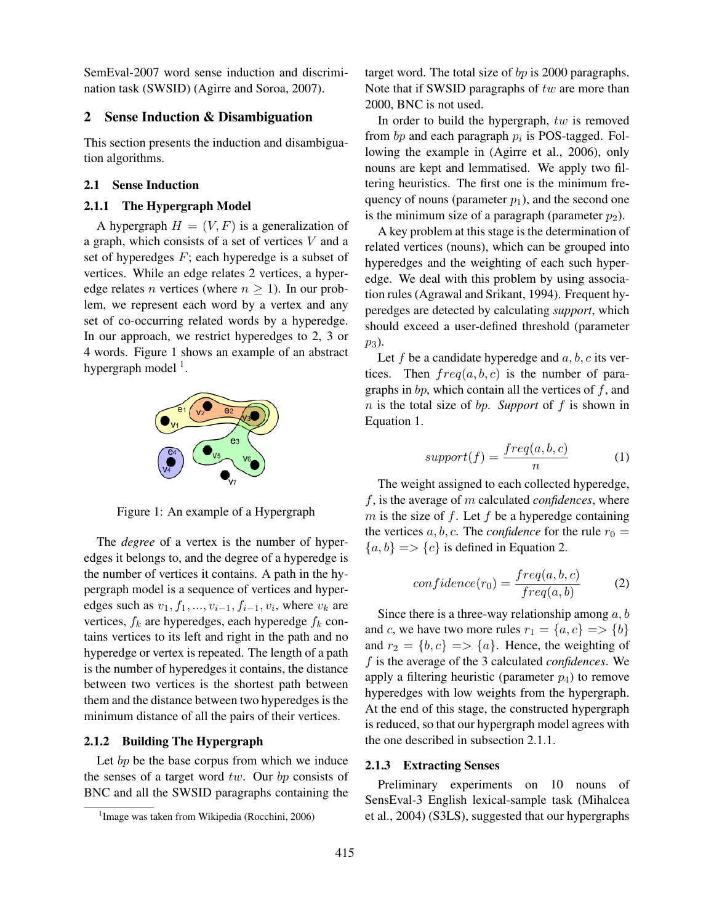SemEval-2007 word sense induction and discrimination task (SWSID) (Agirre and Soroa, 2007).

## 2 Sense Induction & Disambiguation

This section presents the induction and disambiguation algorithms.

# 2.1 Sense Induction

#### 2.1.1 The Hypergraph Model

A hypergraph  $H = (V, F)$  is a generalization of a graph, which consists of a set of vertices  $V$  and a set of hyperedges  $F$ ; each hyperedge is a subset of vertices. While an edge relates 2 vertices, a hyperedge relates *n* vertices (where  $n \ge 1$ ). In our problem, we represent each word by a vertex and any set of co-occurring related words by a hyperedge. In our approach, we restrict hyperedges to 2, 3 or 4 words. Figure 1 shows an example of an abstract hypergraph model <sup>1</sup>.



Figure 1: An example of a Hypergraph

The *degree* of a vertex is the number of hyperedges it belongs to, and the degree of a hyperedge is the number of vertices it contains. A path in the hypergraph model is a sequence of vertices and hyperedges such as  $v_1, f_1, ..., v_{i-1}, f_{i-1}, v_i$ , where  $v_k$  are vertices,  $f_k$  are hyperedges, each hyperedge  $f_k$  contains vertices to its left and right in the path and no hyperedge or vertex is repeated. The length of a path is the number of hyperedges it contains, the distance between two vertices is the shortest path between them and the distance between two hyperedges is the minimum distance of all the pairs of their vertices.

### 2.1.2 Building The Hypergraph

Let  $bp$  be the base corpus from which we induce the senses of a target word  $tw$ . Our  $bp$  consists of BNC and all the SWSID paragraphs containing the

target word. The total size of bp is 2000 paragraphs. Note that if SWSID paragraphs of  $tw$  are more than 2000, BNC is not used.

In order to build the hypergraph,  $tw$  is removed from  $bp$  and each paragraph  $p_i$  is POS-tagged. Following the example in (Agirre et al., 2006), only nouns are kept and lemmatised. We apply two filtering heuristics. The first one is the minimum frequency of nouns (parameter  $p_1$ ), and the second one is the minimum size of a paragraph (parameter  $p_2$ ).

A key problem at this stage is the determination of related vertices (nouns), which can be grouped into hyperedges and the weighting of each such hyperedge. We deal with this problem by using association rules (Agrawal and Srikant, 1994). Frequent hyperedges are detected by calculating *support*, which should exceed a user-defined threshold (parameter p3).

Let f be a candidate hyperedge and  $a, b, c$  its vertices. Then  $freq(a, b, c)$  is the number of paragraphs in  $bp$ , which contain all the vertices of  $f$ , and n is the total size of bp. *Support* of f is shown in Equation 1.

$$
support(f) = \frac{freq(a, b, c)}{n} \tag{1}
$$

The weight assigned to each collected hyperedge, f, is the average of m calculated *confidences*, where m is the size of  $f$ . Let  $f$  be a hyperedge containing the vertices a, b, c. The *confidence* for the rule  $r_0 =$  $\{a, b\} \Longrightarrow \{c\}$  is defined in Equation 2.

$$
confidence(r_0) = \frac{freq(a, b, c)}{freq(a, b)}
$$
 (2)

Since there is a three-way relationship among  $a, b$ and c, we have two more rules  $r_1 = \{a, c\} \implies \{b\}$ and  $r_2 = \{b, c\} \implies \{a\}$ . Hence, the weighting of f is the average of the 3 calculated *confidences*. We apply a filtering heuristic (parameter  $p_4$ ) to remove hyperedges with low weights from the hypergraph. At the end of this stage, the constructed hypergraph is reduced, so that our hypergraph model agrees with the one described in subsection 2.1.1.

#### 2.1.3 Extracting Senses

Preliminary experiments on 10 nouns of SensEval-3 English lexical-sample task (Mihalcea et al., 2004) (S3LS), suggested that our hypergraphs

<sup>&</sup>lt;sup>1</sup> Image was taken from Wikipedia (Rocchini, 2006)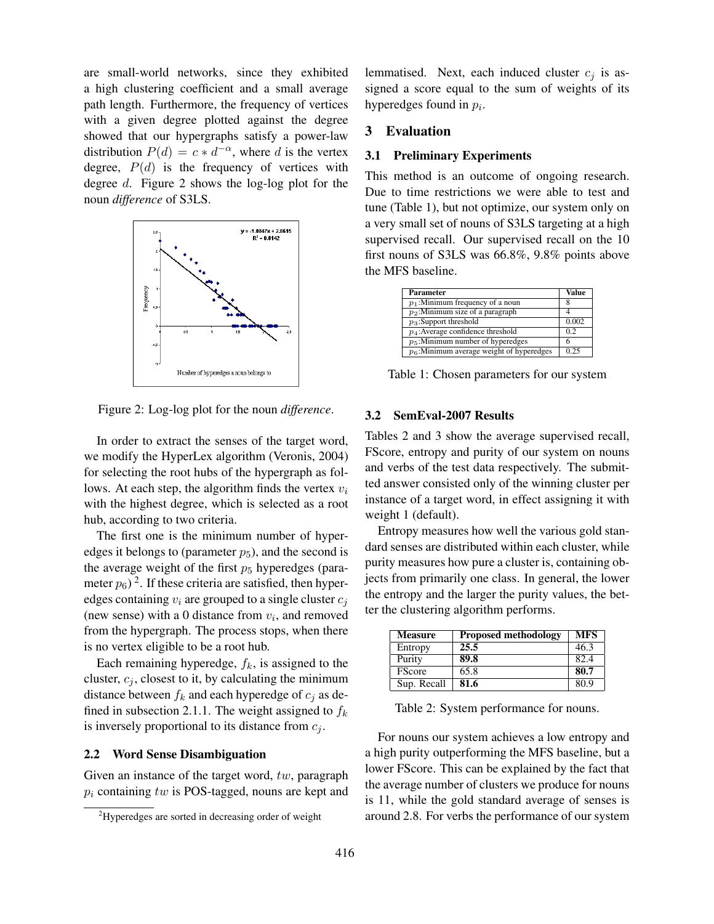are small-world networks, since they exhibited a high clustering coefficient and a small average path length. Furthermore, the frequency of vertices with a given degree plotted against the degree showed that our hypergraphs satisfy a power-law distribution  $P(d) = c * d^{-\alpha}$ , where d is the vertex degree,  $P(d)$  is the frequency of vertices with degree d. Figure 2 shows the log-log plot for the noun *difference* of S3LS.



Figure 2: Log-log plot for the noun *difference*.

In order to extract the senses of the target word, we modify the HyperLex algorithm (Veronis, 2004) for selecting the root hubs of the hypergraph as follows. At each step, the algorithm finds the vertex  $v_i$ with the highest degree, which is selected as a root hub, according to two criteria.

The first one is the minimum number of hyperedges it belongs to (parameter  $p_5$ ), and the second is the average weight of the first  $p_5$  hyperedges (parameter  $p_6$ )<sup>2</sup>. If these criteria are satisfied, then hyperedges containing  $v_i$  are grouped to a single cluster  $c_i$ (new sense) with a 0 distance from  $v_i$ , and removed from the hypergraph. The process stops, when there is no vertex eligible to be a root hub.

Each remaining hyperedge,  $f_k$ , is assigned to the cluster,  $c_j$ , closest to it, by calculating the minimum distance between  $f_k$  and each hyperedge of  $c_j$  as defined in subsection 2.1.1. The weight assigned to  $f_k$ is inversely proportional to its distance from  $c_i$ .

#### 2.2 Word Sense Disambiguation

Given an instance of the target word,  $tw$ , paragraph  $p_i$  containing tw is POS-tagged, nouns are kept and lemmatised. Next, each induced cluster  $c_i$  is assigned a score equal to the sum of weights of its hyperedges found in  $p_i$ .

# 3 Evaluation

#### 3.1 Preliminary Experiments

This method is an outcome of ongoing research. Due to time restrictions we were able to test and tune (Table 1), but not optimize, our system only on a very small set of nouns of S3LS targeting at a high supervised recall. Our supervised recall on the 10 first nouns of S3LS was 66.8%, 9.8% points above the MFS baseline.

| Parameter                                   | Value |
|---------------------------------------------|-------|
| $p_1$ :Minimum frequency of a noun          |       |
| $p_2$ :Minimum size of a paragraph          |       |
| $p_3$ :Support threshold                    | 0.002 |
| $p_4$ : Average confidence threshold        | 02    |
| $p_5$ :Minimum number of hyperedges         | 6     |
| $p_6$ :Minimum average weight of hyperedges | 0.25  |

Table 1: Chosen parameters for our system

#### 3.2 SemEval-2007 Results

Tables 2 and 3 show the average supervised recall, FScore, entropy and purity of our system on nouns and verbs of the test data respectively. The submitted answer consisted only of the winning cluster per instance of a target word, in effect assigning it with weight 1 (default).

Entropy measures how well the various gold standard senses are distributed within each cluster, while purity measures how pure a cluster is, containing objects from primarily one class. In general, the lower the entropy and the larger the purity values, the better the clustering algorithm performs.

| <b>Measure</b> | <b>Proposed methodology</b> | <b>MFS</b> |
|----------------|-----------------------------|------------|
| Entropy        | 25.5                        | 46.3       |
| Purity         | 89.8                        | 82.4       |
| <b>FScore</b>  | 65.8                        | 80.7       |
| Sup. Recall    | 81.6                        | 80.9       |

Table 2: System performance for nouns.

For nouns our system achieves a low entropy and a high purity outperforming the MFS baseline, but a lower FScore. This can be explained by the fact that the average number of clusters we produce for nouns is 11, while the gold standard average of senses is around 2.8. For verbs the performance of our system

<sup>2</sup>Hyperedges are sorted in decreasing order of weight